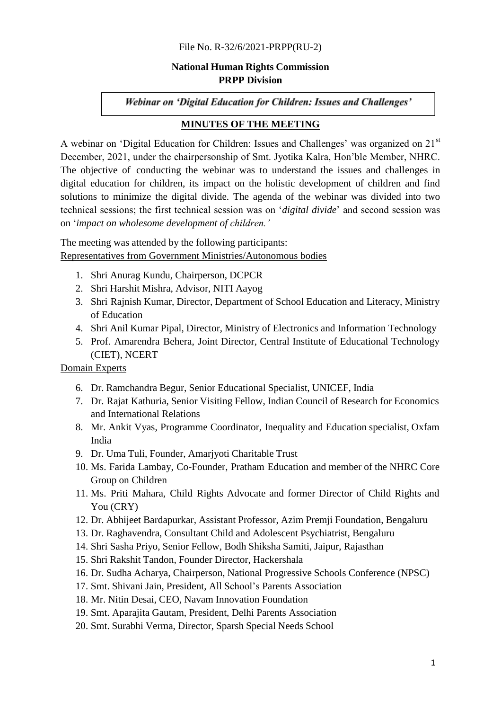#### File No. [R-32/6/2021-PRPP\(RU-2\)](https://nhrc.eoffice.gov.in/eFile/?x=hcXCLXNmg5rc57PPDxzD4oSB6lt%2ARQ2G)

## **National Human Rights Commission PRPP Division**

Webinar on 'Digital Education for Children: Issues and Challenges'

### **MINUTES OF THE MEETING**

A webinar on 'Digital Education for Children: Issues and Challenges' was organized on 21<sup>st</sup> December, 2021, under the chairpersonship of Smt. Jyotika Kalra, Hon'ble Member, NHRC. The objective of conducting the webinar was to understand the issues and challenges in digital education for children, its impact on the holistic development of children and find solutions to minimize the digital divide. The agenda of the webinar was divided into two technical sessions; the first technical session was on ‗*digital divide*' and second session was on ‗*impact on wholesome development of children.'*

The meeting was attended by the following participants: Representatives from Government Ministries/Autonomous bodies

- 1. Shri Anurag Kundu, Chairperson, DCPCR
- 2. Shri Harshit Mishra, Advisor, NITI Aayog
- 3. Shri Rajnish Kumar, Director, Department of School Education and Literacy, Ministry of Education
- 4. Shri Anil Kumar Pipal, Director, Ministry of Electronics and Information Technology
- 5. Prof. Amarendra Behera, Joint Director, Central Institute of Educational Technology (CIET), NCERT

Domain Experts

- 6. Dr. Ramchandra Begur, Senior Educational Specialist, UNICEF, India
- 7. Dr. Rajat Kathuria, Senior Visiting Fellow, Indian Council of Research for Economics and International Relations
- 8. Mr. Ankit Vyas, Programme Coordinator, Inequality and Education specialist, Oxfam India
- 9. Dr. Uma Tuli, Founder, Amarjyoti Charitable Trust
- 10. Ms. Farida Lambay, Co-Founder, Pratham Education and member of the NHRC Core Group on Children
- 11. Ms. Priti Mahara, Child Rights Advocate and former Director of Child Rights and You (CRY)
- 12. Dr. Abhijeet Bardapurkar, Assistant Professor, Azim Premji Foundation, Bengaluru
- 13. Dr. Raghavendra, Consultant Child and Adolescent Psychiatrist, Bengaluru
- 14. Shri Sasha Priyo, Senior Fellow, Bodh Shiksha Samiti, Jaipur, Rajasthan
- 15. Shri Rakshit Tandon, Founder Director, Hackershala
- 16. Dr. Sudha Acharya, Chairperson, National Progressive Schools Conference (NPSC)
- 17. Smt. Shivani Jain, President, All School's Parents Association
- 18. Mr. Nitin Desai, CEO, Navam Innovation Foundation
- 19. Smt. Aparajita Gautam, President, Delhi Parents Association
- 20. Smt. Surabhi Verma, Director, Sparsh Special Needs School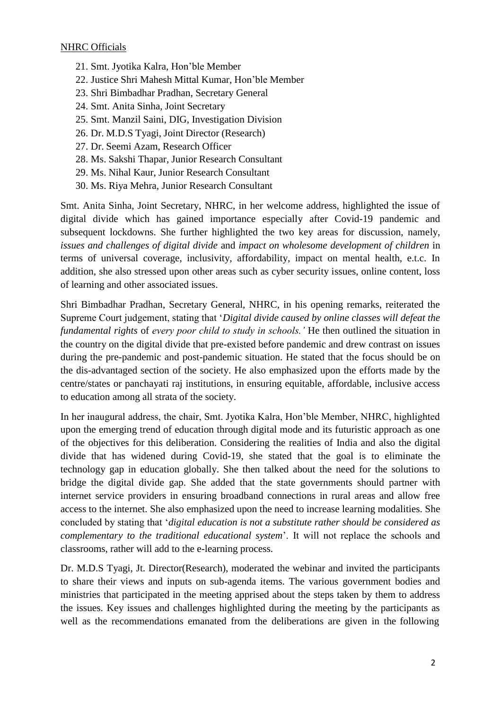# **NHRC Officials**

- 21. Smt. Jyotika Kalra, Hon'ble Member
- 22. Justice Shri Mahesh Mittal Kumar, Hon'ble Member
- 23. Shri Bimbadhar Pradhan, Secretary General
- 24. Smt. Anita Sinha, Joint Secretary
- 25. Smt. Manzil Saini, DIG, Investigation Division
- 26. Dr. M.D.S Tyagi, Joint Director (Research)
- 27. Dr. Seemi Azam, Research Officer
- 28. Ms. Sakshi Thapar, Junior Research Consultant
- 29. Ms. Nihal Kaur, Junior Research Consultant
- 30. Ms. Riya Mehra, Junior Research Consultant

Smt. Anita Sinha, Joint Secretary, NHRC, in her welcome address, highlighted the issue of digital divide which has gained importance especially after Covid-19 pandemic and subsequent lockdowns. She further highlighted the two key areas for discussion, namely, *issues and challenges of digital divide* and *impact on wholesome development of children* in terms of universal coverage, inclusivity, affordability, impact on mental health, e.t.c. In addition, she also stressed upon other areas such as cyber security issues, online content, loss of learning and other associated issues.

Shri Bimbadhar Pradhan, Secretary General, NHRC, in his opening remarks, reiterated the Supreme Court judgement, stating that 'Digital divide caused by online classes will defeat the *fundamental rights* of *every poor child to study in schools.'* He then outlined the situation in the country on the digital divide that pre-existed before pandemic and drew contrast on issues during the pre-pandemic and post-pandemic situation. He stated that the focus should be on the dis-advantaged section of the society. He also emphasized upon the efforts made by the centre/states or panchayati raj institutions, in ensuring equitable, affordable, inclusive access to education among all strata of the society.

In her inaugural address, the chair, Smt. Jyotika Kalra, Hon'ble Member, NHRC, highlighted upon the emerging trend of education through digital mode and its futuristic approach as one of the objectives for this deliberation. Considering the realities of India and also the digital divide that has widened during Covid-19, she stated that the goal is to eliminate the technology gap in education globally. She then talked about the need for the solutions to bridge the digital divide gap. She added that the state governments should partner with internet service providers in ensuring broadband connections in rural areas and allow free access to the internet. She also emphasized upon the need to increase learning modalities. She concluded by stating that ‗*digital education is not a substitute rather should be considered as complementary to the traditional educational system*'. It will not replace the schools and classrooms, rather will add to the e-learning process.

Dr. M.D.S Tyagi, Jt. Director(Research), moderated the webinar and invited the participants to share their views and inputs on sub-agenda items. The various government bodies and ministries that participated in the meeting apprised about the steps taken by them to address the issues. Key issues and challenges highlighted during the meeting by the participants as well as the recommendations emanated from the deliberations are given in the following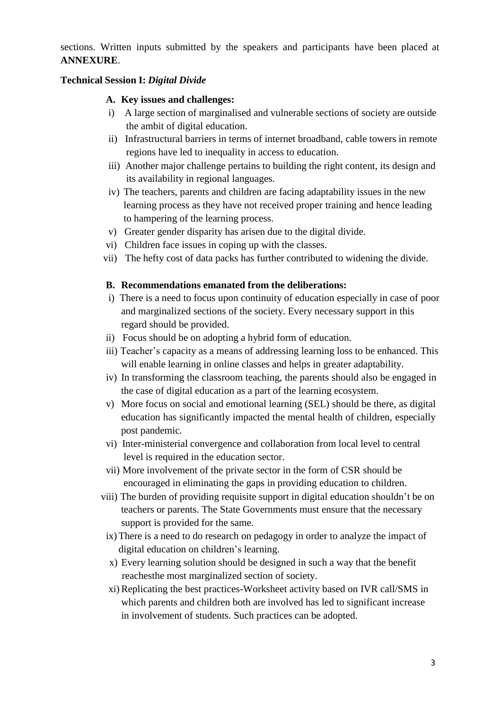sections. Written inputs submitted by the speakers and participants have been placed at **ANNEXURE**.

## **Technical Session I:** *Digital Divide*

### **A. Key issues and challenges:**

- i) A large section of marginalised and vulnerable sections of society are outside the ambit of digital education.
- ii) Infrastructural barriers in terms of internet broadband, cable towers in remote regions have led to inequality in access to education.
- iii) Another major challenge pertains to building the right content, its design and its availability in regional languages.
- iv) The teachers, parents and children are facing adaptability issues in the new learning process as they have not received proper training and hence leading to hampering of the learning process.
- v) Greater gender disparity has arisen due to the digital divide.
- vi) Children face issues in coping up with the classes.
- vii) The hefty cost of data packs has further contributed to widening the divide.

### **B. Recommendations emanated from the deliberations:**

- i) There is a need to focus upon continuity of education especially in case of poor and marginalized sections of the society. Every necessary support in this regard should be provided.
- ii) Focus should be on adopting a hybrid form of education.
- iii) Teacher's capacity as a means of addressing learning loss to be enhanced. This will enable learning in online classes and helps in greater adaptability.
- iv) In transforming the classroom teaching, the parents should also be engaged in the case of digital education as a part of the learning ecosystem.
- v) More focus on social and emotional learning (SEL) should be there, as digital education has significantly impacted the mental health of children, especially post pandemic.
- vi) Inter-ministerial convergence and collaboration from local level to central level is required in the education sector.
- vii) More involvement of the private sector in the form of CSR should be encouraged in eliminating the gaps in providing education to children.
- viii) The burden of providing requisite support in digital education shouldn't be on teachers or parents. The State Governments must ensure that the necessary support is provided for the same.
- ix) There is a need to do research on pedagogy in order to analyze the impact of digital education on children's learning.
- x) Every learning solution should be designed in such a way that the benefit reachesthe most marginalized section of society.
- xi) Replicating the best practices-Worksheet activity based on IVR call/SMS in which parents and children both are involved has led to significant increase in involvement of students. Such practices can be adopted.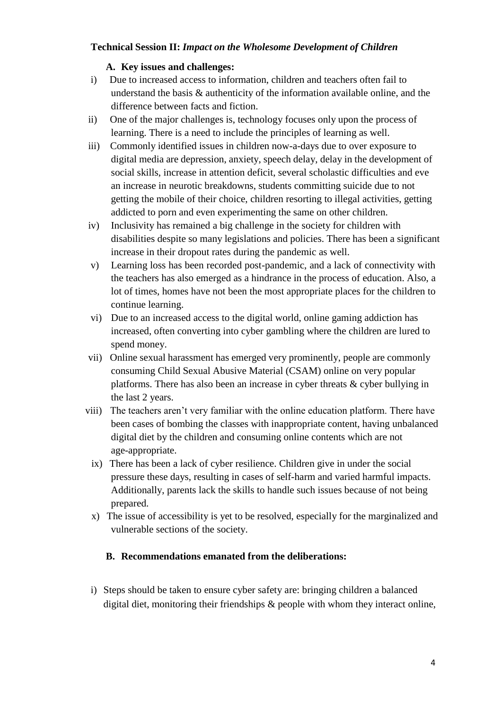# **Technical Session II:** *Impact on the Wholesome Development of Children*

# **A. Key issues and challenges:**

- i) Due to increased access to information, children and teachers often fail to understand the basis & authenticity of the information available online, and the difference between facts and fiction.
- ii) One of the major challenges is, technology focuses only upon the process of learning. There is a need to include the principles of learning as well.
- iii) Commonly identified issues in children now-a-days due to over exposure to digital media are depression, anxiety, speech delay, delay in the development of social skills, increase in attention deficit, several scholastic difficulties and eve an increase in neurotic breakdowns, students committing suicide due to not getting the mobile of their choice, children resorting to illegal activities, getting addicted to porn and even experimenting the same on other children.
- iv) Inclusivity has remained a big challenge in the society for children with disabilities despite so many legislations and policies. There has been a significant increase in their dropout rates during the pandemic as well.
- v) Learning loss has been recorded post-pandemic, and a lack of connectivity with the teachers has also emerged as a hindrance in the process of education. Also, a lot of times, homes have not been the most appropriate places for the children to continue learning.
- vi) Due to an increased access to the digital world, online gaming addiction has increased, often converting into cyber gambling where the children are lured to spend money.
- vii) Online sexual harassment has emerged very prominently, people are commonly consuming Child Sexual Abusive Material (CSAM) online on very popular platforms. There has also been an increase in cyber threats & cyber bullying in the last 2 years.
- viii) The teachers aren't very familiar with the online education platform. There have been cases of bombing the classes with inappropriate content, having unbalanced digital diet by the children and consuming online contents which are not age-appropriate.
	- ix) There has been a lack of cyber resilience. Children give in under the social pressure these days, resulting in cases of self-harm and varied harmful impacts. Additionally, parents lack the skills to handle such issues because of not being prepared.
	- x) The issue of accessibility is yet to be resolved, especially for the marginalized and vulnerable sections of the society.

# **B. Recommendations emanated from the deliberations:**

i) Steps should be taken to ensure cyber safety are: bringing children a balanced digital diet, monitoring their friendships & people with whom they interact online,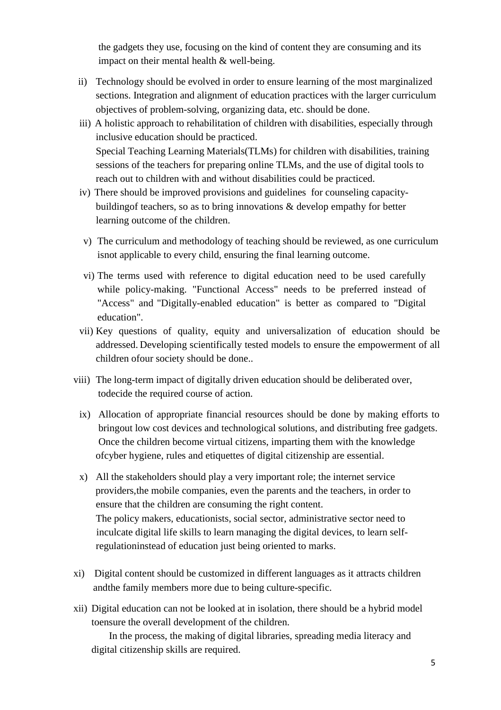the gadgets they use, focusing on the kind of content they are consuming and its impact on their mental health & well-being.

- ii) Technology should be evolved in order to ensure learning of the most marginalized sections. Integration and alignment of education practices with the larger curriculum objectives of problem-solving, organizing data, etc. should be done.
- iii) A holistic approach to rehabilitation of children with disabilities, especially through inclusive education should be practiced. Special Teaching Learning Materials(TLMs) for children with disabilities, training sessions of the teachers for preparing online TLMs, and the use of digital tools to reach out to children with and without disabilities could be practiced.
- iv) There should be improved provisions and guidelines for counseling capacitybuildingof teachers, so as to bring innovations & develop empathy for better learning outcome of the children.
- v) The curriculum and methodology of teaching should be reviewed, as one curriculum isnot applicable to every child, ensuring the final learning outcome.
- vi) The terms used with reference to digital education need to be used carefully while policy-making. "Functional Access" needs to be preferred instead of "Access" and "Digitally-enabled education" is better as compared to "Digital education".
- vii) Key questions of quality, equity and universalization of education should be addressed. Developing scientifically tested models to ensure the empowerment of all children ofour society should be done..
- viii) The long-term impact of digitally driven education should be deliberated over, todecide the required course of action.
	- ix) Allocation of appropriate financial resources should be done by making efforts to bringout low cost devices and technological solutions, and distributing free gadgets. Once the children become virtual citizens, imparting them with the knowledge ofcyber hygiene, rules and etiquettes of digital citizenship are essential.
	- x) All the stakeholders should play a very important role; the internet service providers,the mobile companies, even the parents and the teachers, in order to ensure that the children are consuming the right content. The policy makers, educationists, social sector, administrative sector need to inculcate digital life skills to learn managing the digital devices, to learn self regulationinstead of education just being oriented to marks.
- xi) Digital content should be customized in different languages as it attracts children andthe family members more due to being culture-specific.
- xii) Digital education can not be looked at in isolation, there should be a hybrid model toensure the overall development of the children.

In the process, the making of digital libraries, spreading media literacy and digital citizenship skills are required.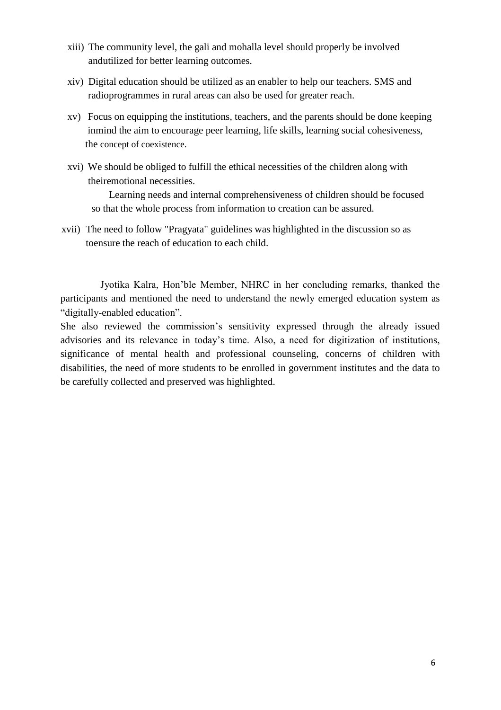- xiii) The community level, the gali and mohalla level should properly be involved andutilized for better learning outcomes.
- xiv) Digital education should be utilized as an enabler to help our teachers. SMS and radioprogrammes in rural areas can also be used for greater reach.
- xv) Focus on equipping the institutions, teachers, and the parents should be done keeping inmind the aim to encourage peer learning, life skills, learning social cohesiveness, the concept of coexistence.
- xvi) We should be obliged to fulfill the ethical necessities of the children along with theiremotional necessities.

Learning needs and internal comprehensiveness of children should be focused so that the whole process from information to creation can be assured.

xvii) The need to follow "Pragyata" guidelines was highlighted in the discussion so as toensure the reach of education to each child.

Jyotika Kalra, Hon'ble Member, NHRC in her concluding remarks, thanked the participants and mentioned the need to understand the newly emerged education system as "digitally-enabled education".

She also reviewed the commission's sensitivity expressed through the already issued advisories and its relevance in today's time. Also, a need for digitization of institutions, significance of mental health and professional counseling, concerns of children with disabilities, the need of more students to be enrolled in government institutes and the data to be carefully collected and preserved was highlighted.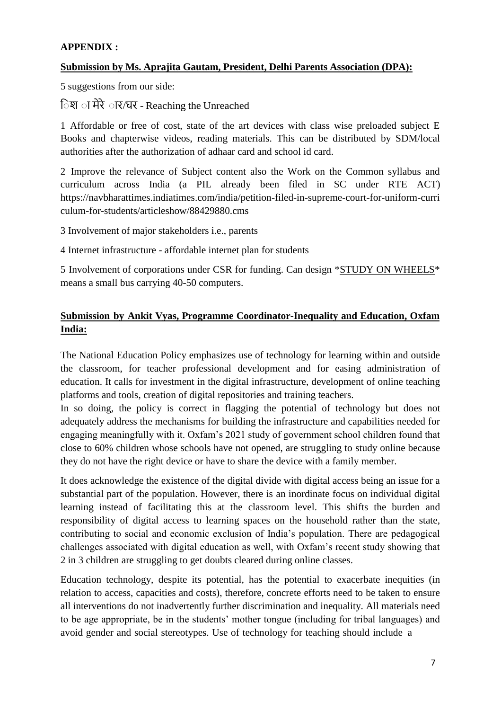# **APPENDIX :**

## **Submission by Ms. Aprajita Gautam, President, Delhi Parents Association (DPA):**

5 suggestions from our side:

िश ा मेरे ार/घर - Reaching the Unreached

1 Affordable or free of cost, state of the art devices with class wise preloaded subject E Books and chapterwise videos, reading materials. This can be distributed by SDM/local authorities after the authorization of adhaar card and school id card.

2 Improve the relevance of Subject content also the Work on the Common syllabus and curriculum across India (a PIL already been filed in SC under RTE ACT) [https://navbharattimes.indiatimes.com/india/petition-filed-in-supreme-court-for-uniform-curri](https://navbharattimes.indiatimes.com/india/petition-filed-in-supreme-court-for-uniform-curriculum-for-students/articleshow/88429880.cms) [culum-for-students/articleshow/88429880.cms](https://navbharattimes.indiatimes.com/india/petition-filed-in-supreme-court-for-uniform-curriculum-for-students/articleshow/88429880.cms)

3 Involvement of major stakeholders i.e., parents

4 Internet infrastructure - affordable internet plan for students

5 Involvement of corporations under CSR for funding. Can design \*STUDY ON WHEELS\* means a small bus carrying 40-50 computers.

# **Submission by Ankit Vyas, Programme Coordinator-Inequality and Education, Oxfam India:**

The National Education Policy emphasizes use of technology for learning within and outside the classroom, for teacher professional development and for easing administration of education. It calls for investment in the digital infrastructure, development of online teaching platforms and tools, creation of digital repositories and training teachers.

In so doing, the policy is correct in flagging the potential of technology but does not adequately address the mechanisms for building the infrastructure and capabilities needed for engaging meaningfully with it. Oxfam's 2021 study of government school children found that close to 60% children whose schools have not opened, are struggling to study online because they do not have the right device or have to share the device with a family member.

It does acknowledge the existence of the digital divide with digital access being an issue for a substantial part of the population. However, there is an inordinate focus on individual digital learning instead of facilitating this at the classroom level. This shifts the burden and responsibility of digital access to learning spaces on the household rather than the state, contributing to social and economic exclusion of India's population. There are pedagogical challenges associated with digital education as well, with Oxfam's recent study showing that 2 in 3 children are struggling to get doubts cleared during online classes.

Education technology, despite its potential, has the potential to exacerbate inequities (in relation to access, capacities and costs), therefore, concrete efforts need to be taken to ensure all interventions do not inadvertently further discrimination and inequality. All materials need to be age appropriate, be in the students' mother tongue (including for tribal languages) and avoid gender and social stereotypes. Use of technology for teaching should include a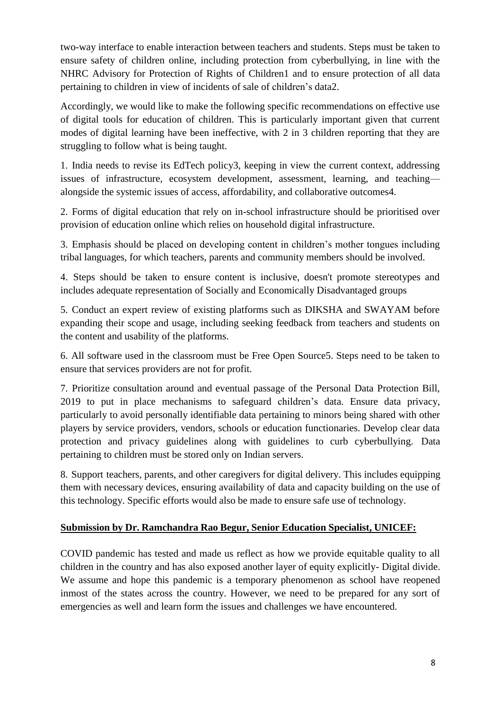two-way interface to enable interaction between teachers and students. Steps must be taken to ensure safety of children online, including protection from cyberbullying, in line with the NHRC Advisory for Protection of Rights of Children1 and to ensure protection of all data pertaining to children in view of incidents of sale of children's data2.

Accordingly, we would like to make the following specific recommendations on effective use of digital tools for education of children. This is particularly important given that current modes of digital learning have been ineffective, with 2 in 3 children reporting that they are struggling to follow what is being taught.

1. India needs to revise its EdTech policy3, keeping in view the current context, addressing issues of infrastructure, ecosystem development, assessment, learning, and teaching alongside the systemic issues of access, affordability, and collaborative outcomes4.

2. Forms of digital education that rely on in-school infrastructure should be prioritised over provision of education online which relies on household digital infrastructure.

3. Emphasis should be placed on developing content in children's mother tongues including tribal languages, for which teachers, parents and community members should be involved.

4. Steps should be taken to ensure content is inclusive, doesn't promote stereotypes and includes adequate representation of Socially and Economically Disadvantaged groups

5. Conduct an expert review of existing platforms such as DIKSHA and SWAYAM before expanding their scope and usage, including seeking feedback from teachers and students on the content and usability of the platforms.

6. All software used in the classroom must be Free Open Source5. Steps need to be taken to ensure that services providers are not for profit.

7. Prioritize consultation around and eventual passage of the Personal Data Protection Bill, 2019 to put in place mechanisms to safeguard children's data. Ensure data privacy, particularly to avoid personally identifiable data pertaining to minors being shared with other players by service providers, vendors, schools or education functionaries. Develop clear data protection and privacy guidelines along with guidelines to curb cyberbullying. Data pertaining to children must be stored only on Indian servers.

8. Support teachers, parents, and other caregivers for digital delivery. This includes equipping them with necessary devices, ensuring availability of data and capacity building on the use of this technology. Specific efforts would also be made to ensure safe use of technology.

## **Submission by Dr. Ramchandra Rao Begur, Senior Education Specialist, UNICEF:**

COVID pandemic has tested and made us reflect as how we provide equitable quality to all children in the country and has also exposed another layer of equity explicitly- Digital divide. We assume and hope this pandemic is a temporary phenomenon as school have reopened inmost of the states across the country. However, we need to be prepared for any sort of emergencies as well and learn form the issues and challenges we have encountered.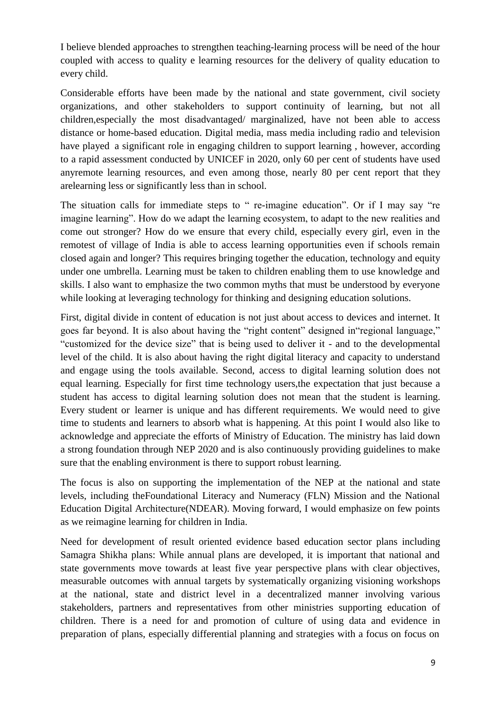I believe blended approaches to strengthen teaching-learning process will be need of the hour coupled with access to quality e learning resources for the delivery of quality education to every child.

Considerable efforts have been made by the national and state government, civil society organizations, and other stakeholders to support continuity of learning, but not all children,especially the most disadvantaged/ marginalized, have not been able to access distance or home-based education. Digital media, mass media including radio and television have played a significant role in engaging children to support learning , however, according to a rapid assessment conducted by UNICEF in 2020, only 60 per cent of students have used anyremote learning resources, and even among those, nearly 80 per cent report that they arelearning less or significantly less than in school.

The situation calls for immediate steps to " re-imagine education". Or if I may say "re imagine learning". How do we adapt the learning ecosystem, to adapt to the new realities and come out stronger? How do we ensure that every child, especially every girl, even in the remotest of village of India is able to access learning opportunities even if schools remain closed again and longer? This requires bringing together the education, technology and equity under one umbrella. Learning must be taken to children enabling them to use knowledge and skills. I also want to emphasize the two common myths that must be understood by everyone while looking at leveraging technology for thinking and designing education solutions.

First, digital divide in content of education is not just about access to devices and internet. It goes far beyond. It is also about having the "right content" designed in "regional language," "customized for the device size" that is being used to deliver it - and to the developmental level of the child. It is also about having the right digital literacy and capacity to understand and engage using the tools available. Second, access to digital learning solution does not equal learning. Especially for first time technology users,the expectation that just because a student has access to digital learning solution does not mean that the student is learning. Every student or learner is unique and has different requirements. We would need to give time to students and learners to absorb what is happening. At this point I would also like to acknowledge and appreciate the efforts of Ministry of Education. The ministry has laid down a strong foundation through NEP 2020 and is also continuously providing guidelines to make sure that the enabling environment is there to support robust learning.

The focus is also on supporting the implementation of the NEP at the national and state levels, including theFoundational Literacy and Numeracy (FLN) Mission and the National Education Digital Architecture(NDEAR). Moving forward, I would emphasize on few points as we reimagine learning for children in India.

Need for development of result oriented evidence based education sector plans including Samagra Shikha plans: While annual plans are developed, it is important that national and state governments move towards at least five year perspective plans with clear objectives, measurable outcomes with annual targets by systematically organizing visioning workshops at the national, state and district level in a decentralized manner involving various stakeholders, partners and representatives from other ministries supporting education of children. There is a need for and promotion of culture of using data and evidence in preparation of plans, especially differential planning and strategies with a focus on focus on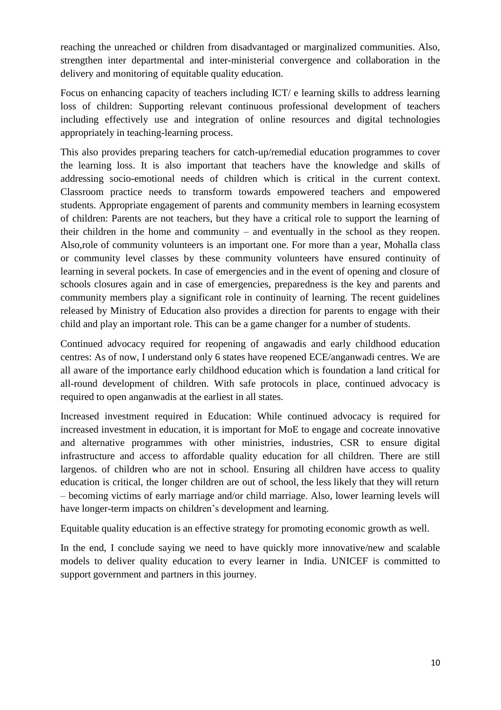reaching the unreached or children from disadvantaged or marginalized communities. Also, strengthen inter departmental and inter-ministerial convergence and collaboration in the delivery and monitoring of equitable quality education.

Focus on enhancing capacity of teachers including ICT/ e learning skills to address learning loss of children: Supporting relevant continuous professional development of teachers including effectively use and integration of online resources and digital technologies appropriately in teaching-learning process.

This also provides preparing teachers for catch-up/remedial education programmes to cover the learning loss. It is also important that teachers have the knowledge and skills of addressing socio-emotional needs of children which is critical in the current context. Classroom practice needs to transform towards empowered teachers and empowered students. Appropriate engagement of parents and community members in learning ecosystem of children: Parents are not teachers, but they have a critical role to support the learning of their children in the home and community – and eventually in the school as they reopen. Also,role of community volunteers is an important one. For more than a year, Mohalla class or community level classes by these community volunteers have ensured continuity of learning in several pockets. In case of emergencies and in the event of opening and closure of schools closures again and in case of emergencies, preparedness is the key and parents and community members play a significant role in continuity of learning. The recent guidelines released by Ministry of Education also provides a direction for parents to engage with their child and play an important role. This can be a game changer for a number of students.

Continued advocacy required for reopening of angawadis and early childhood education centres: As of now, I understand only 6 states have reopened ECE/anganwadi centres. We are all aware of the importance early childhood education which is foundation a land critical for all-round development of children. With safe protocols in place, continued advocacy is required to open anganwadis at the earliest in all states.

Increased investment required in Education: While continued advocacy is required for increased investment in education, it is important for MoE to engage and cocreate innovative and alternative programmes with other ministries, industries, CSR to ensure digital infrastructure and access to affordable quality education for all children. There are still largenos. of children who are not in school. Ensuring all children have access to quality education is critical, the longer children are out of school, the less likely that they will return – becoming victims of early marriage and/or child marriage. Also, lower learning levels will have longer-term impacts on children's development and learning.

Equitable quality education is an effective strategy for promoting economic growth as well.

In the end, I conclude saying we need to have quickly more innovative/new and scalable models to deliver quality education to every learner in India. UNICEF is committed to support government and partners in this journey.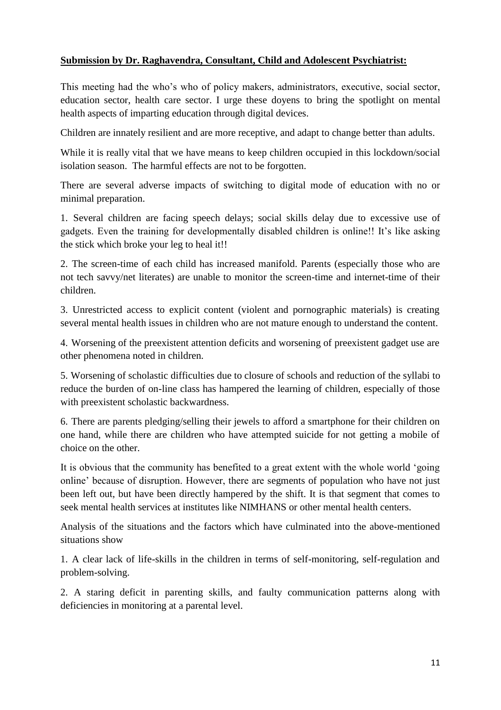# **Submission by Dr. Raghavendra, Consultant, Child and Adolescent Psychiatrist:**

This meeting had the who's who of policy makers, administrators, executive, social sector, education sector, health care sector. I urge these doyens to bring the spotlight on mental health aspects of imparting education through digital devices.

Children are innately resilient and are more receptive, and adapt to change better than adults.

While it is really vital that we have means to keep children occupied in this lockdown/social isolation season. The harmful effects are not to be forgotten.

There are several adverse impacts of switching to digital mode of education with no or minimal preparation.

1. Several children are facing speech delays; social skills delay due to excessive use of gadgets. Even the training for developmentally disabled children is online!! It's like asking the stick which broke your leg to heal it!!

2. The screen-time of each child has increased manifold. Parents (especially those who are not tech savvy/net literates) are unable to monitor the screen-time and internet-time of their children.

3. Unrestricted access to explicit content (violent and pornographic materials) is creating several mental health issues in children who are not mature enough to understand the content.

4. Worsening of the preexistent attention deficits and worsening of preexistent gadget use are other phenomena noted in children.

5. Worsening of scholastic difficulties due to closure of schools and reduction of the syllabi to reduce the burden of on-line class has hampered the learning of children, especially of those with preexistent scholastic backwardness.

6. There are parents pledging/selling their jewels to afford a smartphone for their children on one hand, while there are children who have attempted suicide for not getting a mobile of choice on the other.

It is obvious that the community has benefited to a great extent with the whole world 'going online' because of disruption. However, there are segments of population who have not just been left out, but have been directly hampered by the shift. It is that segment that comes to seek mental health services at institutes like NIMHANS or other mental health centers.

Analysis of the situations and the factors which have culminated into the above-mentioned situations show

1. A clear lack of life-skills in the children in terms of self-monitoring, self-regulation and problem-solving.

2. A staring deficit in parenting skills, and faulty communication patterns along with deficiencies in monitoring at a parental level.